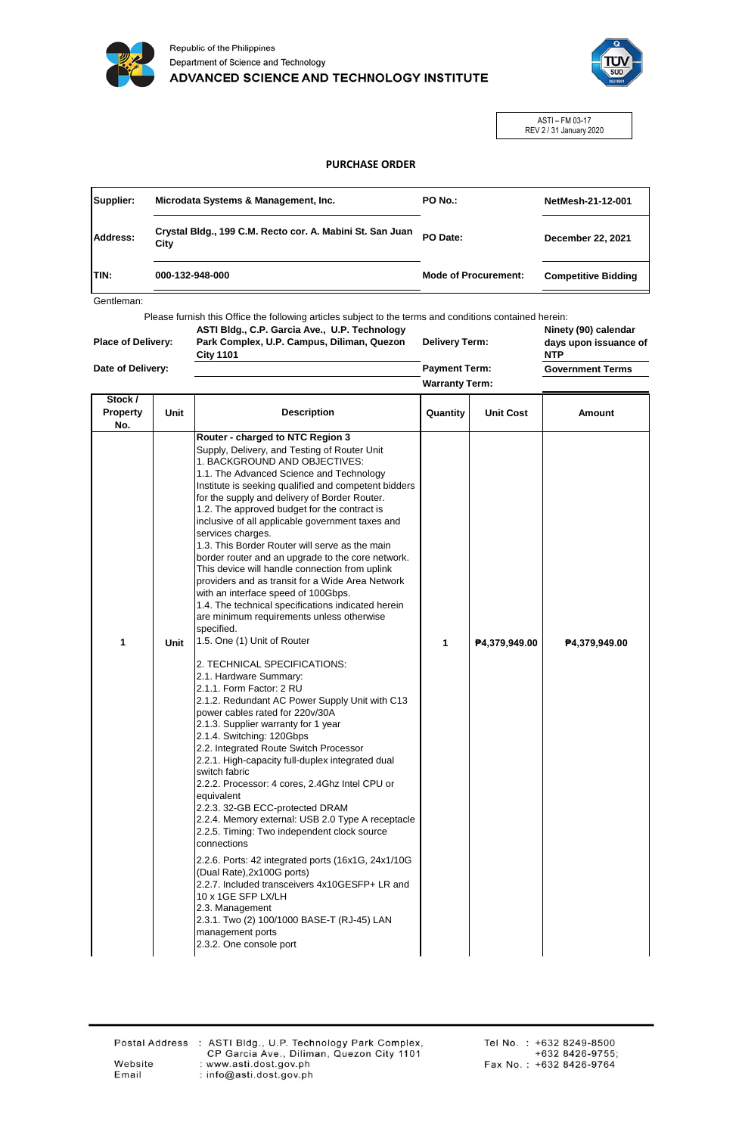

Republic of the Philippines Department of Science and Technology ADVANCED SCIENCE AND TECHNOLOGY INSTITUTE



ASTI – FM 03-17 REV 2 / 31 January 2020

## **PURCHASE ORDER**

| Supplier:   | Microdata Systems & Management, Inc.                              | PO No.:                     | NetMesh-21-12-001          |  |
|-------------|-------------------------------------------------------------------|-----------------------------|----------------------------|--|
| Address:    | Crystal Bldg., 199 C.M. Recto cor. A. Mabini St. San Juan<br>City | PO Date:                    | December 22, 2021          |  |
| <b>TIN:</b> | 000-132-948-000                                                   | <b>Mode of Procurement:</b> | <b>Competitive Bidding</b> |  |

Gentleman:

Please furnish this Office the following articles subject to the terms and conditions contained herein:

|  | <b>Place of Delivery:</b> |
|--|---------------------------|

**Date of Delivery:**

Г

**ASTI Bldg., C.P. Garcia Ave., U.P. Technology Park Complex, U.P. Campus, Diliman, Quezon City 1101**

**Delivery Term: Payment Term:**

**Warranty Term:**

**Ninety (90) calendar days upon issuance of NTP**

**Government Terms**

٦

| Stock /<br><b>Property</b><br>No. | <b>Unit</b> | <b>Description</b>                                                                                                                                                                                                                                                                                                                                                                                                                                                                                                                                                                                                                                                                                                                                                                                                                                                                                                                                                                                                                                                                                                                                                                                                                                                                                                                                                                                                                                                                                                                                                                                                                                                   | Quantity | <b>Unit Cost</b> | <b>Amount</b> |
|-----------------------------------|-------------|----------------------------------------------------------------------------------------------------------------------------------------------------------------------------------------------------------------------------------------------------------------------------------------------------------------------------------------------------------------------------------------------------------------------------------------------------------------------------------------------------------------------------------------------------------------------------------------------------------------------------------------------------------------------------------------------------------------------------------------------------------------------------------------------------------------------------------------------------------------------------------------------------------------------------------------------------------------------------------------------------------------------------------------------------------------------------------------------------------------------------------------------------------------------------------------------------------------------------------------------------------------------------------------------------------------------------------------------------------------------------------------------------------------------------------------------------------------------------------------------------------------------------------------------------------------------------------------------------------------------------------------------------------------------|----------|------------------|---------------|
| 1                                 | Unit        | Router - charged to NTC Region 3<br>Supply, Delivery, and Testing of Router Unit<br>1. BACKGROUND AND OBJECTIVES:<br>1.1. The Advanced Science and Technology<br>Institute is seeking qualified and competent bidders<br>for the supply and delivery of Border Router.<br>1.2. The approved budget for the contract is<br>inclusive of all applicable government taxes and<br>services charges.<br>1.3. This Border Router will serve as the main<br>border router and an upgrade to the core network.<br>This device will handle connection from uplink<br>providers and as transit for a Wide Area Network<br>with an interface speed of 100Gbps.<br>1.4. The technical specifications indicated herein<br>are minimum requirements unless otherwise<br>specified.<br>1.5. One (1) Unit of Router<br>2. TECHNICAL SPECIFICATIONS:<br>2.1. Hardware Summary:<br>2.1.1. Form Factor: 2 RU<br>2.1.2. Redundant AC Power Supply Unit with C13<br>power cables rated for 220v/30A<br>2.1.3. Supplier warranty for 1 year<br>2.1.4. Switching: 120Gbps<br>2.2. Integrated Route Switch Processor<br>2.2.1. High-capacity full-duplex integrated dual<br>switch fabric<br>2.2.2. Processor: 4 cores, 2.4Ghz Intel CPU or<br>equivalent<br>2.2.3. 32-GB ECC-protected DRAM<br>2.2.4. Memory external: USB 2.0 Type A receptacle<br>2.2.5. Timing: Two independent clock source<br>connections<br>2.2.6. Ports: 42 integrated ports (16x1G, 24x1/10G)<br>(Dual Rate), 2x100G ports)<br>2.2.7. Included transceivers 4x10GESFP+ LR and<br>10 x 1GE SFP LX/LH<br>2.3. Management<br>2.3.1. Two (2) 100/1000 BASE-T (RJ-45) LAN<br>management ports<br>2.3.2. One console port | 1        | P4,379,949.00    | P4,379,949.00 |

Email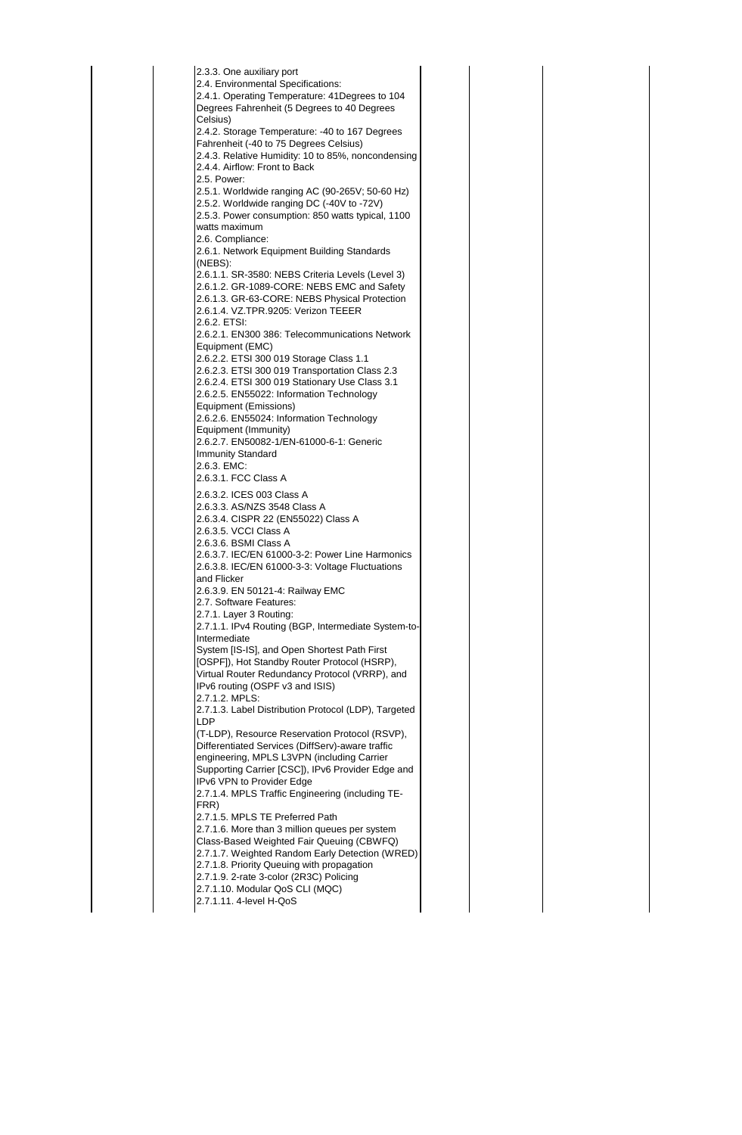2.3.3. One auxiliary port 2.4. Environmental Specifications: 2.4.1. Operating Temperature: 41Degrees to 104 Degrees Fahrenheit (5 Degrees to 40 Degrees Celsius) 2.4.2. Storage Temperature: -40 to 167 Degrees Fahrenheit (-40 to 75 Degrees Celsius) 2.4.3. Relative Humidity: 10 to 85%, noncondensing 2.4.4. Airflow: Front to Back 2.5. Power: 2.5.1. Worldwide ranging AC (90-265V; 50-60 Hz) 2.5.2. Worldwide ranging DC (-40V to -72V) 2.5.3. Power consumption: 850 watts typical, 1100 watts maximum 2.6. Compliance: 2.6.1. Network Equipment Building Standards (NEBS): 2.6.1.1. SR-3580: NEBS Criteria Levels (Level 3) 2.6.1.2. GR-1089-CORE: NEBS EMC and Safety 2.6.1.3. GR-63-CORE: NEBS Physical Protection 2.6.1.4. VZ.TPR.9205: Verizon TEEER 2.6.2. ETSI: 2.6.2.1. EN300 386: Telecommunications Network Equipment (EMC) 2.6.2.2. ETSI 300 019 Storage Class 1.1 2.6.2.3. ETSI 300 019 Transportation Class 2.3 2.6.2.4. ETSI 300 019 Stationary Use Class 3.1 2.6.2.5. EN55022: Information Technology Equipment (Emissions) 2.6.2.6. EN55024: Information Technology Equipment (Immunity) 2.6.2.7. EN50082-1/EN-61000-6-1: Generic Immunity Standard 2.6.3. EMC: 2.6.3.1. FCC Class A 2.6.3.2. ICES 003 Class A 2.6.3.3. AS/NZS 3548 Class A 2.6.3.4. CISPR 22 (EN55022) Class A 2.6.3.5. VCCI Class A 2.6.3.6. BSMI Class A 2.6.3.7. IEC/EN 61000-3-2: Power Line Harmonics 2.6.3.8. IEC/EN 61000-3-3: Voltage Fluctuations and Flicker 2.6.3.9. EN 50121-4: Railway EMC 2.7. Software Features: 2.7.1. Layer 3 Routing: 2.7.1.1. IPv4 Routing (BGP, Intermediate System-to-Intermediate System [IS-IS], and Open Shortest Path First [OSPF]), Hot Standby Router Protocol (HSRP), Virtual Router Redundancy Protocol (VRRP), and IPv6 routing (OSPF v3 and ISIS) 2.7.1.2. MPLS: 2.7.1.3. Label Distribution Protocol (LDP), Targeted LDP (T-LDP), Resource Reservation Protocol (RSVP), Differentiated Services (DiffServ)-aware traffic engineering, MPLS L3VPN (including Carrier Supporting Carrier [CSC]), IPv6 Provider Edge and IPv6 VPN to Provider Edge 2.7.1.4. MPLS Traffic Engineering (including TE-FRR) 2.7.1.5. MPLS TE Preferred Path 2.7.1.6. More than 3 million queues per system Class-Based Weighted Fair Queuing (CBWFQ) 2.7.1.7. Weighted Random Early Detection (WRED) 2.7.1.8. Priority Queuing with propagation 2.7.1.9. 2-rate 3-color (2R3C) Policing 2.7.1.10. Modular QoS CLI (MQC) 2.7.1.11. 4-level H-QoS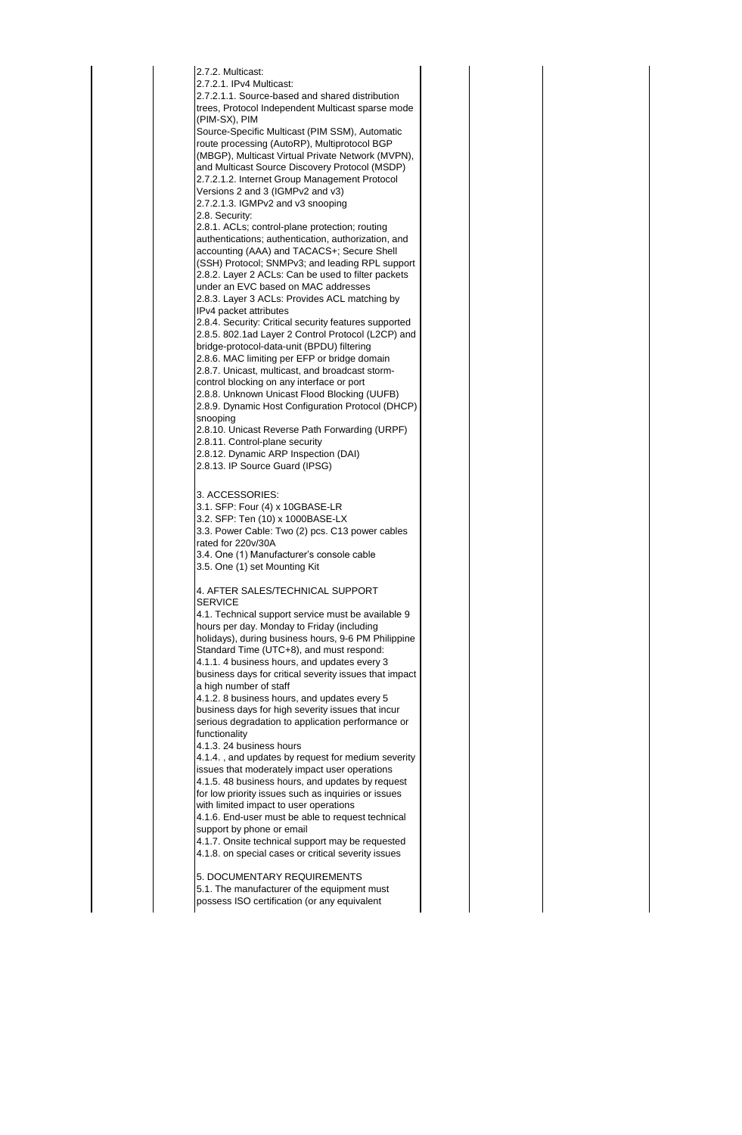| 2.7.2. Multicast:                                                                                       |  |  |  |
|---------------------------------------------------------------------------------------------------------|--|--|--|
| 2.7.2.1. IPv4 Multicast:                                                                                |  |  |  |
| 2.7.2.1.1. Source-based and shared distribution<br>trees, Protocol Independent Multicast sparse mode    |  |  |  |
| (PIM-SX), PIM                                                                                           |  |  |  |
| Source-Specific Multicast (PIM SSM), Automatic                                                          |  |  |  |
| route processing (AutoRP), Multiprotocol BGP                                                            |  |  |  |
| (MBGP), Multicast Virtual Private Network (MVPN),                                                       |  |  |  |
| and Multicast Source Discovery Protocol (MSDP)                                                          |  |  |  |
| 2.7.2.1.2. Internet Group Management Protocol                                                           |  |  |  |
| Versions 2 and 3 (IGMPv2 and v3)                                                                        |  |  |  |
| 2.7.2.1.3. IGMPv2 and v3 snooping                                                                       |  |  |  |
| 2.8. Security:                                                                                          |  |  |  |
| 2.8.1. ACLs; control-plane protection; routing                                                          |  |  |  |
| authentications; authentication, authorization, and                                                     |  |  |  |
| accounting (AAA) and TACACS+; Secure Shell                                                              |  |  |  |
| (SSH) Protocol; SNMPv3; and leading RPL support                                                         |  |  |  |
| 2.8.2. Layer 2 ACLs: Can be used to filter packets                                                      |  |  |  |
| under an EVC based on MAC addresses                                                                     |  |  |  |
| 2.8.3. Layer 3 ACLs: Provides ACL matching by                                                           |  |  |  |
| IPv4 packet attributes                                                                                  |  |  |  |
| 2.8.4. Security: Critical security features supported                                                   |  |  |  |
| 2.8.5. 802.1ad Layer 2 Control Protocol (L2CP) and                                                      |  |  |  |
| bridge-protocol-data-unit (BPDU) filtering                                                              |  |  |  |
| 2.8.6. MAC limiting per EFP or bridge domain                                                            |  |  |  |
| 2.8.7. Unicast, multicast, and broadcast storm-                                                         |  |  |  |
| control blocking on any interface or port                                                               |  |  |  |
| 2.8.8. Unknown Unicast Flood Blocking (UUFB)<br>2.8.9. Dynamic Host Configuration Protocol (DHCP)       |  |  |  |
| snooping                                                                                                |  |  |  |
| 2.8.10. Unicast Reverse Path Forwarding (URPF)                                                          |  |  |  |
| 2.8.11. Control-plane security                                                                          |  |  |  |
| 2.8.12. Dynamic ARP Inspection (DAI)                                                                    |  |  |  |
| 2.8.13. IP Source Guard (IPSG)                                                                          |  |  |  |
|                                                                                                         |  |  |  |
|                                                                                                         |  |  |  |
|                                                                                                         |  |  |  |
| 3. ACCESSORIES:                                                                                         |  |  |  |
| 3.1. SFP: Four (4) x 10GBASE-LR                                                                         |  |  |  |
| 3.2. SFP: Ten (10) x 1000BASE-LX                                                                        |  |  |  |
| 3.3. Power Cable: Two (2) pcs. C13 power cables                                                         |  |  |  |
| rated for 220v/30A                                                                                      |  |  |  |
| 3.4. One (1) Manufacturer's console cable                                                               |  |  |  |
| 3.5. One (1) set Mounting Kit                                                                           |  |  |  |
| 4. AFTER SALES/TECHNICAL SUPPORT                                                                        |  |  |  |
| SERVICE                                                                                                 |  |  |  |
| 4.1. Technical support service must be available 9                                                      |  |  |  |
| hours per day. Monday to Friday (including                                                              |  |  |  |
| holidays), during business hours, 9-6 PM Philippine                                                     |  |  |  |
| Standard Time (UTC+8), and must respond:                                                                |  |  |  |
| 4.1.1. 4 business hours, and updates every 3                                                            |  |  |  |
| business days for critical severity issues that impact                                                  |  |  |  |
| a high number of staff                                                                                  |  |  |  |
| 4.1.2. 8 business hours, and updates every 5                                                            |  |  |  |
| business days for high severity issues that incur                                                       |  |  |  |
| serious degradation to application performance or                                                       |  |  |  |
| functionality                                                                                           |  |  |  |
| 4.1.3. 24 business hours                                                                                |  |  |  |
| 4.1.4., and updates by request for medium severity                                                      |  |  |  |
| issues that moderately impact user operations                                                           |  |  |  |
| 4.1.5. 48 business hours, and updates by request<br>for low priority issues such as inquiries or issues |  |  |  |
| with limited impact to user operations                                                                  |  |  |  |
| 4.1.6. End-user must be able to request technical                                                       |  |  |  |
| support by phone or email                                                                               |  |  |  |
| 4.1.7. Onsite technical support may be requested                                                        |  |  |  |
| 4.1.8. on special cases or critical severity issues                                                     |  |  |  |
|                                                                                                         |  |  |  |
| 5. DOCUMENTARY REQUIREMENTS                                                                             |  |  |  |
| 5.1. The manufacturer of the equipment must<br>possess ISO certification (or any equivalent             |  |  |  |

l.